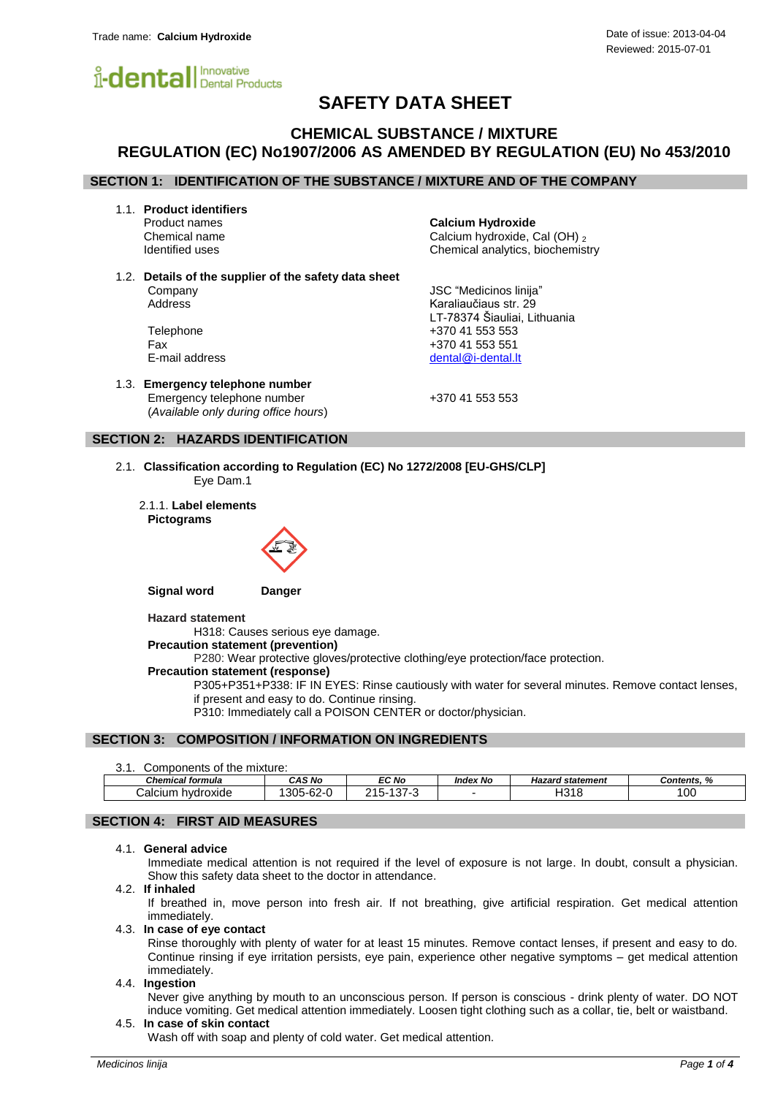

## **SAFETY DATA SHEET**

## **CHEMICAL SUBSTANCE / MIXTURE REGULATION (EC) No1907/2006 AS AMENDED BY REGULATION (EU) No 453/2010**

## **SECTION 1: IDENTIFICATION OF THE SUBSTANCE / MIXTURE AND OF THE COMPANY**

1.1. **Product identifiers**

**Calcium Hydroxide** Chemical name Calcium hydroxide, Cal (OH) 2<br>
Identified uses Chemical analytics, biochemist Chemical analytics, biochemistry

LT-78374 Šiauliai, Lithuania

1.2. **Details of the supplier of the safety data sheet** Company JSC "Medicinos linija" Address **Karaliaučiaus str.** 29

Telephone +370 41 553 553 Fax +370 41 553 551 E-mail address [dental@i-dental.lt](mailto:dental@i-dental.lt)

1.3. **Emergency telephone number** Emergency telephone number  $+37041553553$ (*Available only during office hours*)

## **SECTION 2: HAZARDS IDENTIFICATION**

- 2.1. **Classification according to Regulation (EC) No 1272/2008 [EU-GHS/CLP]** Eye Dam.1
	- 2.1.1. **Label elements Pictograms**



**Signal word Danger**

**Hazard statement**

H318: Causes serious eye damage.

**Precaution statement (prevention)**

P280: Wear protective gloves/protective clothing/eye protection/face protection.

#### **Precaution statement (response)**

P305+P351+P338: IF IN EYES: Rinse cautiously with water for several minutes. Remove contact lenses, if present and easy to do. Continue rinsing.

P310: Immediately call a POISON CENTER or doctor/physician.

## **SECTION 3: COMPOSITION / INFORMATION ON INGREDIENTS**

3.1. Components of the mixture:

| ◡.<br><b>OUTHDUITORY OF THE HIMMUS.</b> |           |                                                       |                 |                         |           |  |
|-----------------------------------------|-----------|-------------------------------------------------------|-----------------|-------------------------|-----------|--|
| <b>Chemical formula</b>                 | CAS No    | EC No                                                 | <b>Index No</b> | <b>Hazard statement</b> | Contents. |  |
| alcium:<br>hvdroxide                    | 305-62-0' | $\lambda$ $\sim$<br><u>ດ 4 F</u><br>- - 0<br>، پ<br>. |                 | 1040<br>1318            | 100       |  |
|                                         |           |                                                       |                 |                         |           |  |

## **SECTION 4: FIRST AID MEASURES**

## 4.1. **General advice**

Immediate medical attention is not required if the level of exposure is not large. In doubt, consult a physician. Show this safety data sheet to the doctor in attendance.

4.2. **If inhaled**

If breathed in, move person into fresh air. If not breathing, give artificial respiration. Get medical attention immediately.

#### 4.3. **In case of eye contact**

Rinse thoroughly with plenty of water for at least 15 minutes. Remove contact lenses, if present and easy to do. Continue rinsing if eye irritation persists, eye pain, experience other negative symptoms – get medical attention immediately.

## 4.4. **Ingestion**

Never give anything by mouth to an unconscious person. If person is conscious - drink plenty of water. DO NOT induce vomiting. Get medical attention immediately. Loosen tight clothing such as a collar, tie, belt or waistband.

## 4.5. **In case of skin contact**

Wash off with soap and plenty of cold water. Get medical attention.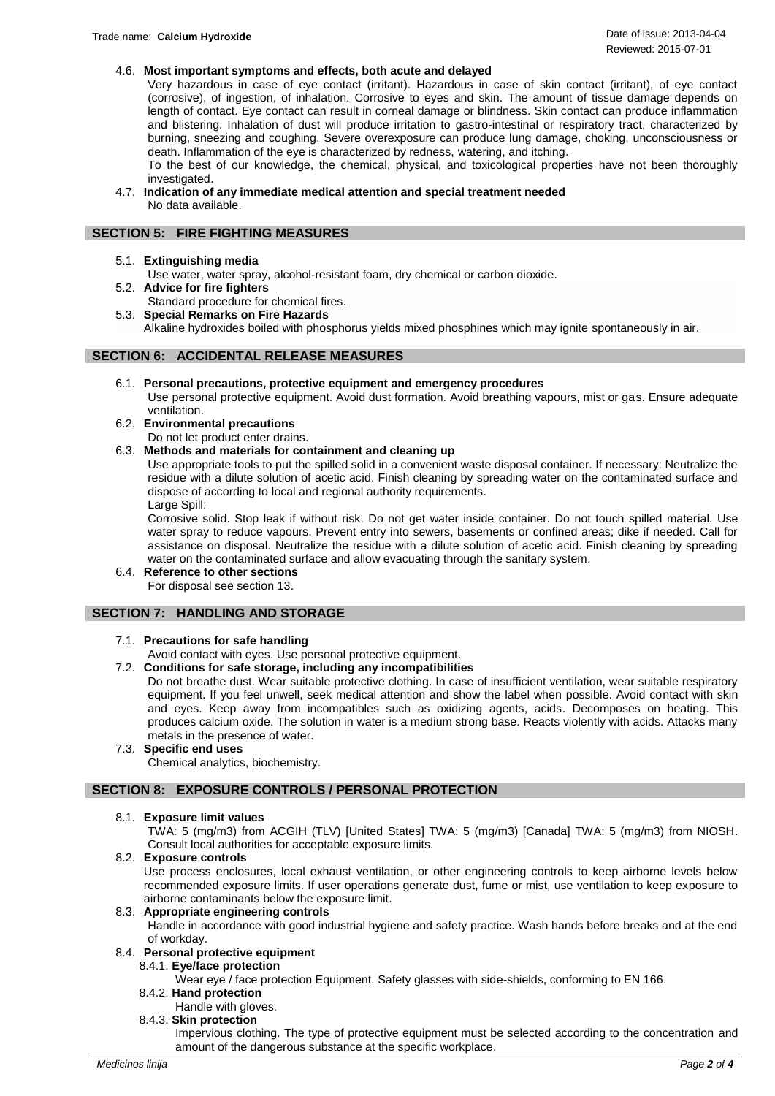## 4.6. **Most important symptoms and effects, both acute and delayed**

Very hazardous in case of eye contact (irritant). Hazardous in case of skin contact (irritant), of eye contact (corrosive), of ingestion, of inhalation. Corrosive to eyes and skin. The amount of tissue damage depends on length of contact. Eye contact can result in corneal damage or blindness. Skin contact can produce inflammation and blistering. Inhalation of dust will produce irritation to gastro-intestinal or respiratory tract, characterized by burning, sneezing and coughing. Severe overexposure can produce lung damage, choking, unconsciousness or death. Inflammation of the eye is characterized by redness, watering, and itching.

To the best of our knowledge, the chemical, physical, and toxicological properties have not been thoroughly investigated.

4.7. **Indication of any immediate medical attention and special treatment needed** No data available.

## **SECTION 5: FIRE FIGHTING MEASURES**

5.1. **Extinguishing media**

Use water, water spray, alcohol-resistant foam, dry chemical or carbon dioxide.

5.2. **Advice for fire fighters** Standard procedure for chemical fires.

5.3. **Special Remarks on Fire Hazards** Alkaline hydroxides boiled with phosphorus yields mixed phosphines which may ignite spontaneously in air.

## **SECTION 6: ACCIDENTAL RELEASE MEASURES**

- 6.1. **Personal precautions, protective equipment and emergency procedures** Use personal protective equipment. Avoid dust formation. Avoid breathing vapours, mist or gas. Ensure adequate ventilation.
- 6.2. **Environmental precautions**

Do not let product enter drains.

## 6.3. **Methods and materials for containment and cleaning up**

Use appropriate tools to put the spilled solid in a convenient waste disposal container. If necessary: Neutralize the residue with a dilute solution of acetic acid. Finish cleaning by spreading water on the contaminated surface and dispose of according to local and regional authority requirements.

Large Spill:

Corrosive solid. Stop leak if without risk. Do not get water inside container. Do not touch spilled material. Use water spray to reduce vapours. Prevent entry into sewers, basements or confined areas; dike if needed. Call for assistance on disposal. Neutralize the residue with a dilute solution of acetic acid. Finish cleaning by spreading water on the contaminated surface and allow evacuating through the sanitary system.

6.4. **Reference to other sections** For disposal see section 13.

## **SECTION 7: HANDLING AND STORAGE**

## 7.1. **Precautions for safe handling**

Avoid contact with eyes. Use personal protective equipment.

## 7.2. **Conditions for safe storage, including any incompatibilities**

Do not breathe dust. Wear suitable protective clothing. In case of insufficient ventilation, wear suitable respiratory equipment. If you feel unwell, seek medical attention and show the label when possible. Avoid contact with skin and eyes. Keep away from incompatibles such as oxidizing agents, acids. Decomposes on heating. This produces calcium oxide. The solution in water is a medium strong base. Reacts violently with acids. Attacks many metals in the presence of water.

## 7.3. **Specific end uses**

Chemical analytics, biochemistry.

## **SECTION 8: EXPOSURE CONTROLS / PERSONAL PROTECTION**

## 8.1. **Exposure limit values**

TWA: 5 (mg/m3) from ACGIH (TLV) [United States] TWA: 5 (mg/m3) [Canada] TWA: 5 (mg/m3) from NIOSH. Consult local authorities for acceptable exposure limits.

8.2. **Exposure controls**

Use process enclosures, local exhaust ventilation, or other engineering controls to keep airborne levels below recommended exposure limits. If user operations generate dust, fume or mist, use ventilation to keep exposure to airborne contaminants below the exposure limit.

## 8.3. **Appropriate engineering controls**

Handle in accordance with good industrial hygiene and safety practice. Wash hands before breaks and at the end of workday.

#### 8.4. **Personal protective equipment**

8.4.1. **Eye/face protection**

Wear eye / face protection Equipment. Safety glasses with side-shields, conforming to EN 166.

- 8.4.2. **Hand protection**
	- Handle with gloves.
- 8.4.3. **Skin protection**

Impervious clothing. The type of protective equipment must be selected according to the concentration and amount of the dangerous substance at the specific workplace.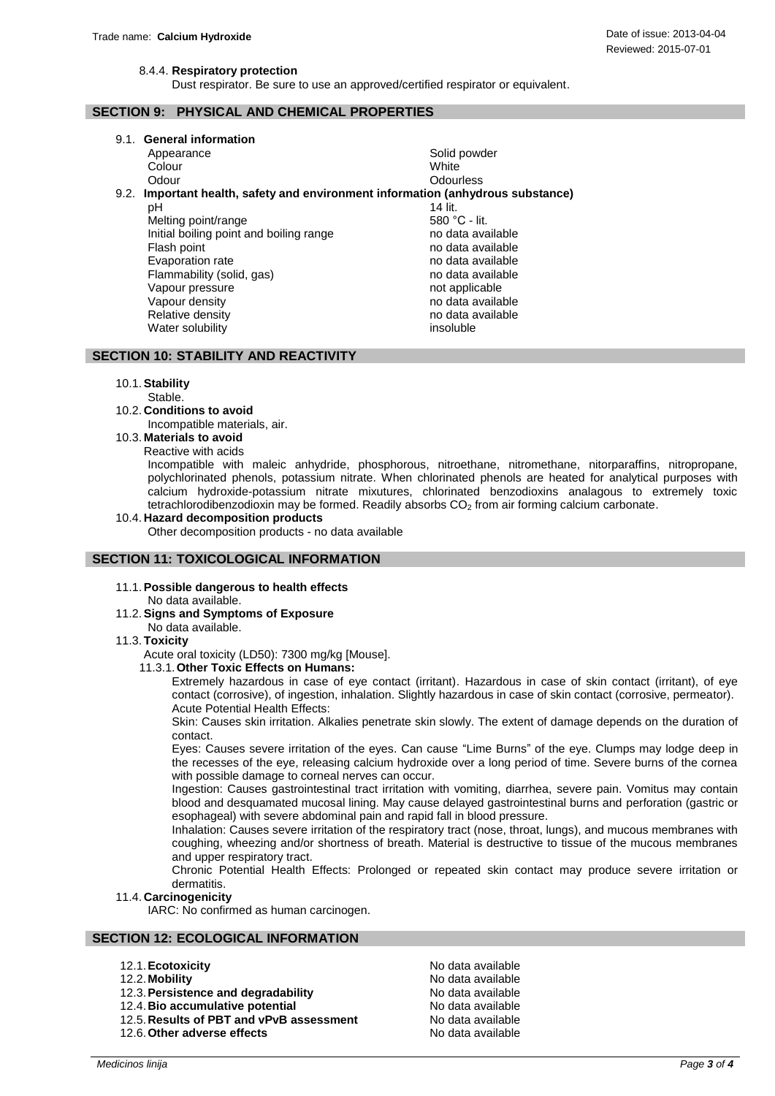Dust respirator. Be sure to use an approved/certified respirator or equivalent.

# Reviewed: 2015-07-01

## **SECTION 9: PHYSICAL AND CHEMICAL PROPERTIES**

9.1. **General information**

|      | Appearance                                                                 | Solid powder      |  |  |  |
|------|----------------------------------------------------------------------------|-------------------|--|--|--|
|      | Colour                                                                     | White             |  |  |  |
|      | Odour                                                                      | Odourless         |  |  |  |
| 9.2. | Important health, safety and environment information (anhydrous substance) |                   |  |  |  |
|      | рH                                                                         | 14 lit.           |  |  |  |
|      | Melting point/range                                                        | 580 °C - lit.     |  |  |  |
|      | Initial boiling point and boiling range                                    | no data available |  |  |  |
|      | Flash point                                                                | no data available |  |  |  |
|      | Evaporation rate                                                           | no data available |  |  |  |
|      | Flammability (solid, gas)                                                  | no data available |  |  |  |
|      | Vapour pressure                                                            | not applicable    |  |  |  |
|      | Vapour density                                                             | no data available |  |  |  |
|      | Relative density                                                           | no data available |  |  |  |
|      | Water solubility                                                           | insoluble         |  |  |  |

## **SECTION 10: STABILITY AND REACTIVITY**

## 10.1.**Stability**

Stable.

- 10.2. **Conditions to avoid**
	- Incompatible materials, air.
- 10.3. **Materials to avoid** Reactive with acids

Incompatible with maleic anhydride, phosphorous, nitroethane, nitromethane, nitorparaffins, nitropropane, polychlorinated phenols, potassium nitrate. When chlorinated phenols are heated for analytical purposes with calcium hydroxide-potassium nitrate mixutures, chlorinated benzodioxins analagous to extremely toxic tetrachlorodibenzodioxin may be formed. Readily absorbs  $CO<sub>2</sub>$  from air forming calcium carbonate.

## 10.4. **Hazard decomposition products**

Other decomposition products - no data available

## **SECTION 11: TOXICOLOGICAL INFORMATION**

11.1.**Possible dangerous to health effects** No data available.

## 11.2.**Signs and Symptoms of Exposure**

No data available.

## 11.3. **Toxicity**

Acute oral toxicity (LD50): 7300 mg/kg [Mouse].

11.3.1.**Other Toxic Effects on Humans:**

Extremely hazardous in case of eye contact (irritant). Hazardous in case of skin contact (irritant), of eye contact (corrosive), of ingestion, inhalation. Slightly hazardous in case of skin contact (corrosive, permeator). Acute Potential Health Effects:

Skin: Causes skin irritation. Alkalies penetrate skin slowly. The extent of damage depends on the duration of contact.

Eyes: Causes severe irritation of the eyes. Can cause "Lime Burns" of the eye. Clumps may lodge deep in the recesses of the eye, releasing calcium hydroxide over a long period of time. Severe burns of the cornea with possible damage to corneal nerves can occur.

Ingestion: Causes gastrointestinal tract irritation with vomiting, diarrhea, severe pain. Vomitus may contain blood and desquamated mucosal lining. May cause delayed gastrointestinal burns and perforation (gastric or esophageal) with severe abdominal pain and rapid fall in blood pressure.

Inhalation: Causes severe irritation of the respiratory tract (nose, throat, lungs), and mucous membranes with coughing, wheezing and/or shortness of breath. Material is destructive to tissue of the mucous membranes and upper respiratory tract.

Chronic Potential Health Effects: Prolonged or repeated skin contact may produce severe irritation or dermatitis.

## 11.4. **Carcinogenicity**

IARC: No confirmed as human carcinogen.

## **SECTION 12: ECOLOGICAL INFORMATION**

- 12.1. **Ecotoxicity No data available No data available**
- 
- 12.3. Persistence and degradability **No data available**
- 12.4. **Bio accumulative potential** No data available
- 12.5.**Results of PBT and vPvB assessment** No data available
- 12.6. Other adverse effects No data available

12.2.**Mobility** No data available